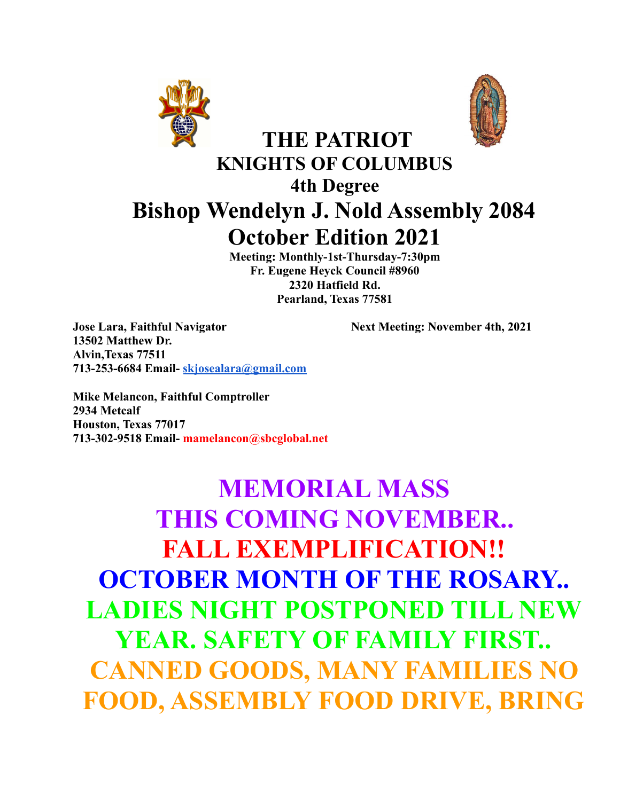



# **KNIGHTS OF COLUMBUS 4th Degree Bishop Wendelyn J. Nold Assembly 2084 October Edition 2021**

**THE PATRIOT**

**Meeting: Monthly-1st-Thursday-7:30pm Fr. Eugene Heyck Council #8960 2320 Hatfield Rd. Pearland, Texas 77581**

**Jose Lara, Faithful Navigator** Next Meeting: November 4th, 2021 **13502 Matthew Dr. Alvin,Texas 77511 713-253-6684 Email- [skjosealara@gmail.com](mailto:skjosealara@gmail.com)**

**Mike Melancon, Faithful Comptroller 2934 Metcalf Houston, Texas 77017 713-302-9518 Email- mamelancon@sbcglobal.net**

# **MEMORIAL MASS THIS COMING NOVEMBER.. FALL EXEMPLIFICATION!! OCTOBER MONTH OF THE ROSARY.. LADIES NIGHT POSTPONED TILL NEW YEAR. SAFETY OF FAMILY FIRST.. CANNED GOODS, MANY FAMILIES NO FOOD, ASSEMBLY FOOD DRIVE, BRING**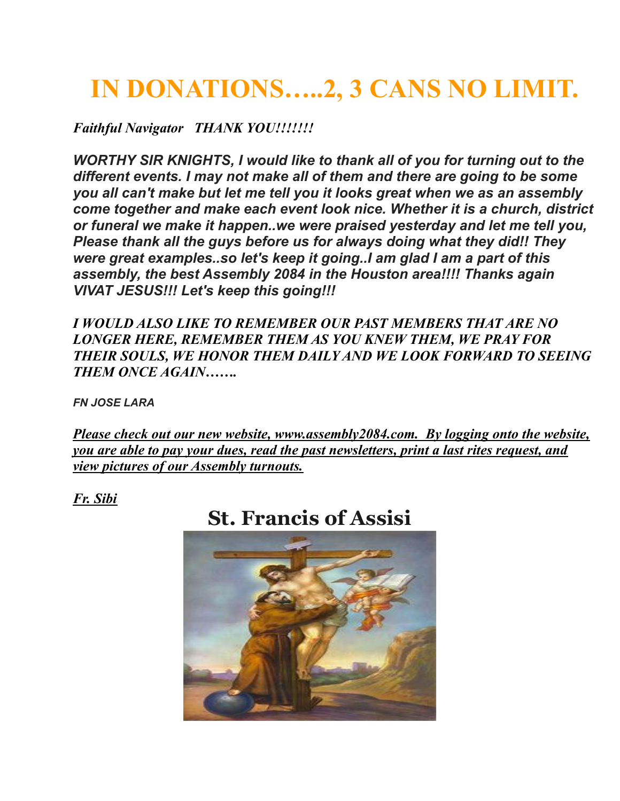# **IN DONATIONS…..2, 3 CANS NO LIMIT.**

*Faithful Navigator THANK YOU!!!!!!!*

*WORTHY SIR KNIGHTS, I would like to thank all of you for turning out to the different events. I may not make all of them and there are going to be some you all can't make but let me tell you it looks great when we as an assembly come together and make each event look nice. Whether it is a church, district or funeral we make it happen..we were praised yesterday and let me tell you, Please thank all the guys before us for always doing what they did!! They were great examples..so let's keep it going..I am glad I am a part of this assembly, the best Assembly 2084 in the Houston area!!!! Thanks again VIVAT JESUS!!! Let's keep this going!!!*

*I WOULD ALSO LIKE TO REMEMBER OUR PAST MEMBERS THAT ARE NO LONGER HERE, REMEMBER THEM AS YOU KNEW THEM, WE PRAY FOR THEIR SOULS, WE HONOR THEM DAILY AND WE LOOK FORWARD TO SEEING THEM ONCE AGAIN…….*

*FN JOSE LARA*

*Please check out our new website, www.assembly2084.com. By logging onto the website, you are able to pay your dues, read the past newsletters, print a last rites request, and view pictures of our Assembly turnouts.*

*Fr. Sibi*

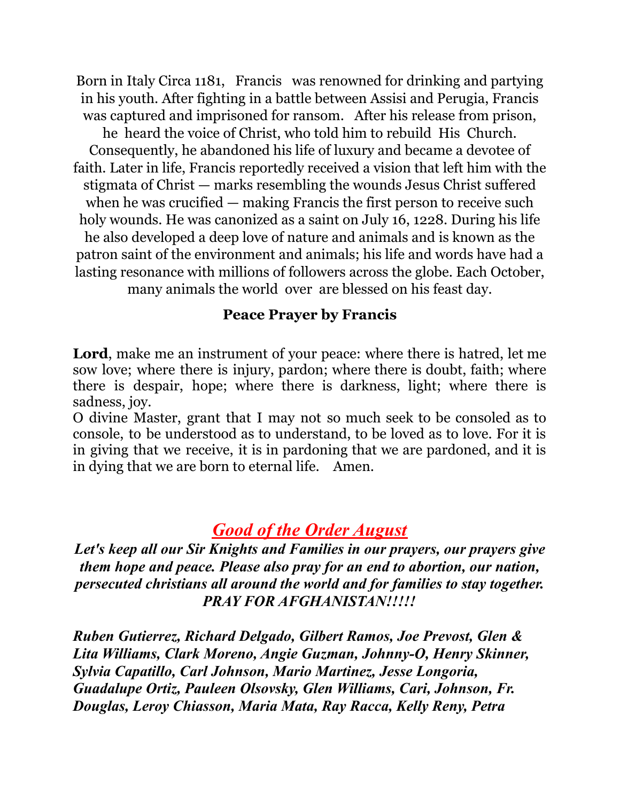Born in Italy Circa 1181, Francis was renowned for drinking and partying in his youth. After fighting in a battle between Assisi and Perugia, Francis was captured and imprisoned for ransom. After his release from prison, he heard the voice of Christ, who told him to rebuild His Church. Consequently, he abandoned his life of luxury and became a devotee of faith. Later in life, Francis reportedly received a vision that left him with the stigmata of Christ — marks resembling the wounds Jesus Christ suffered when he was crucified — making Francis the first person to receive such holy wounds. He was canonized as a saint on July 16, 1228. During his life he also developed a deep love of nature and animals and is known as the patron saint of the environment and animals; his life and words have had a lasting resonance with millions of followers across the globe. Each October, many animals the world over are blessed on his feast day.

#### **Peace Prayer by Francis**

**Lord**, make me an instrument of your peace: where there is hatred, let me sow love; where there is injury, pardon; where there is doubt, faith; where there is despair, hope; where there is darkness, light; where there is sadness, joy.

O divine Master, grant that I may not so much seek to be consoled as to console, to be understood as to understand, to be loved as to love. For it is in giving that we receive, it is in pardoning that we are pardoned, and it is in dying that we are born to eternal life. Amen.

## *Good of the Order August*

*Let's keep all our Sir Knights and Families in our prayers, our prayers give them hope and peace. Please also pray for an end to abortion, our nation, persecuted christians all around the world and for families to stay together. PRAY FOR AFGHANISTAN!!!!!*

*Ruben Gutierrez, Richard Delgado, Gilbert Ramos, Joe Prevost, Glen & Lita Williams, Clark Moreno, Angie Guzman, Johnny-O, Henry Skinner, Sylvia Capatillo, Carl Johnson, Mario Martinez, Jesse Longoria, Guadalupe Ortiz, Pauleen Olsovsky, Glen Williams, Cari, Johnson, Fr. Douglas, Leroy Chiasson, Maria Mata, Ray Racca, Kelly Reny, Petra*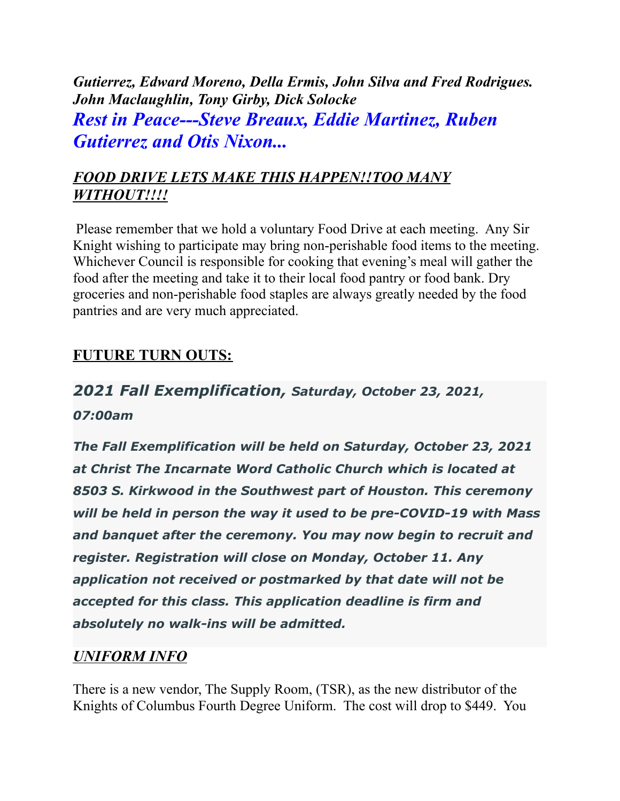*Gutierrez, Edward Moreno, Della Ermis, John Silva and Fred Rodrigues. John Maclaughlin, Tony Girby, Dick Solocke Rest in Peace---Steve Breaux, Eddie Martinez, Ruben Gutierrez and Otis Nixon...*

## *FOOD DRIVE LETS MAKE THIS HAPPEN!!TOO MANY WITHOUT!!!!*

Please remember that we hold a voluntary Food Drive at each meeting. Any Sir Knight wishing to participate may bring non-perishable food items to the meeting. Whichever Council is responsible for cooking that evening's meal will gather the food after the meeting and take it to their local food pantry or food bank. Dry groceries and non-perishable food staples are always greatly needed by the food pantries and are very much appreciated.

## **FUTURE TURN OUTS:**

# *2021 Fall Exemplification, Saturday, October 23, 2021,*

*07:00am*

*The Fall Exemplification will be held on Saturday, October 23, 2021 at Christ The Incarnate Word Catholic Church which is located at 8503 S. Kirkwood in the Southwest part of Houston. This ceremony will be held in person the way it used to be pre-COVID-19 with Mass and banquet after the ceremony. You may now begin to recruit and register. Registration will close on Monday, October 11. Any application not received or postmarked by that date will not be accepted for this class. This application deadline is firm and absolutely no walk-ins will be admitted.*

### *UNIFORM INFO*

There is a new vendor, The Supply Room, (TSR), as the new distributor of the Knights of Columbus Fourth Degree Uniform. The cost will drop to \$449. You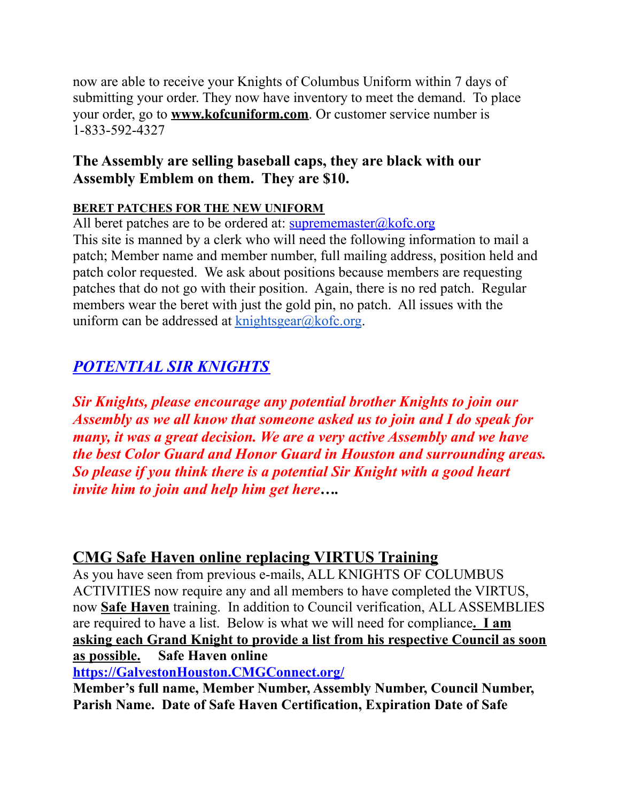now are able to receive your Knights of Columbus Uniform within 7 days of submitting your order. They now have inventory to meet the demand. To place your order, go to **www.kofcuniform.com**. Or customer service number is 1-833-592-4327

### **The Assembly are selling baseball caps, they are black with our Assembly Emblem on them. They are \$10.**

#### **BERET PATCHES FOR THE NEW UNIFORM**

All beret patches are to be ordered at:  $\frac{\text{suprememaster}(a)\text{kofc.org}}{\text{suprememaster}(a)\text{kofc.org}}$ 

This site is manned by a clerk who will need the following information to mail a patch; Member name and member number, full mailing address, position held and patch color requested. We ask about positions because members are requesting patches that do not go with their position. Again, there is no red patch. Regular members wear the beret with just the gold pin, no patch. All issues with the uniform can be addressed at  $k$ nightsgear $@k$ ofc.org.

# *POTENTIAL SIR KNIGHTS*

*Sir Knights, please encourage any potential brother Knights to join our Assembly as we all know that someone asked us to join and I do speak for many, it was a great decision. We are a very active Assembly and we have the best Color Guard and Honor Guard in Houston and surrounding areas. So please if you think there is a potential Sir Knight with a good heart invite him to join and help him get here….*

### **CMG Safe Haven online replacing VIRTUS Training**

As you have seen from previous e-mails, ALL KNIGHTS OF COLUMBUS ACTIVITIES now require any and all members to have completed the VIRTUS, now **Safe Haven** training. In addition to Council verification, ALL ASSEMBLIES are required to have a list. Below is what we will need for compliance**. I am asking each Grand Knight to provide a list from his respective Council as soon as possible. Safe Haven online**

**[https://GalvestonHouston.CMGConnect.org/](https://galvestonhouston.cmgconnect.org/)**

**Member's full name, Member Number, Assembly Number, Council Number, Parish Name. Date of Safe Haven Certification, Expiration Date of Safe**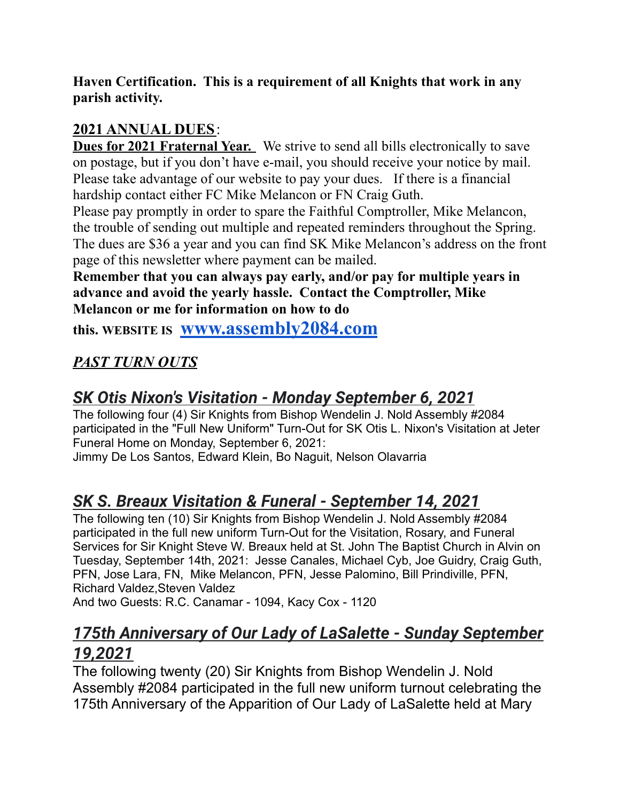**Haven Certification. This is a requirement of all Knights that work in any parish activity.**

## **2021 ANNUAL DUES**:

**Dues for 2021 Fraternal Year.** We strive to send all bills electronically to save on postage, but if you don't have e-mail, you should receive your notice by mail. Please take advantage of our website to pay your dues. If there is a financial hardship contact either FC Mike Melancon or FN Craig Guth.

Please pay promptly in order to spare the Faithful Comptroller, Mike Melancon, the trouble of sending out multiple and repeated reminders throughout the Spring. The dues are \$36 a year and you can find SK Mike Melancon's address on the front page of this newsletter where payment can be mailed.

**Remember that you can always pay early, and/or pay for multiple years in advance and avoid the yearly hassle. Contact the Comptroller, Mike Melancon or me for information on how to do**

**this. WEBSITE IS [www.assembly2084.com](http://www.assembly2084.com)**

## *PAST TURN OUTS*

# *SK Otis Nixon's Visitation - Monday September 6, 2021*

The following four (4) Sir Knights from Bishop Wendelin J. Nold Assembly #2084 participated in the "Full New Uniform" Turn-Out for SK Otis L. Nixon's Visitation at Jeter Funeral Home on Monday, September 6, 2021:

Jimmy De Los Santos, Edward Klein, Bo Naguit, Nelson Olavarria

# *SK S. Breaux Visitation & Funeral - September 14, 2021*

The following ten (10) Sir Knights from Bishop Wendelin J. Nold Assembly #2084 participated in the full new uniform Turn-Out for the Visitation, Rosary, and Funeral Services for Sir Knight Steve W. Breaux held at St. John The Baptist Church in Alvin on Tuesday, September 14th, 2021: Jesse Canales, Michael Cyb, Joe Guidry, Craig Guth, PFN, Jose Lara, FN, Mike Melancon, PFN, Jesse Palomino, Bill Prindiville, PFN, Richard Valdez,Steven Valdez And two Guests: R.C. Canamar - 1094, Kacy Cox - 1120

# *175th Anniversary of Our Lady of LaSalette - Sunday September 19,2021*

The following twenty (20) Sir Knights from Bishop Wendelin J. Nold Assembly #2084 participated in the full new uniform turnout celebrating the 175th Anniversary of the Apparition of Our Lady of LaSalette held at Mary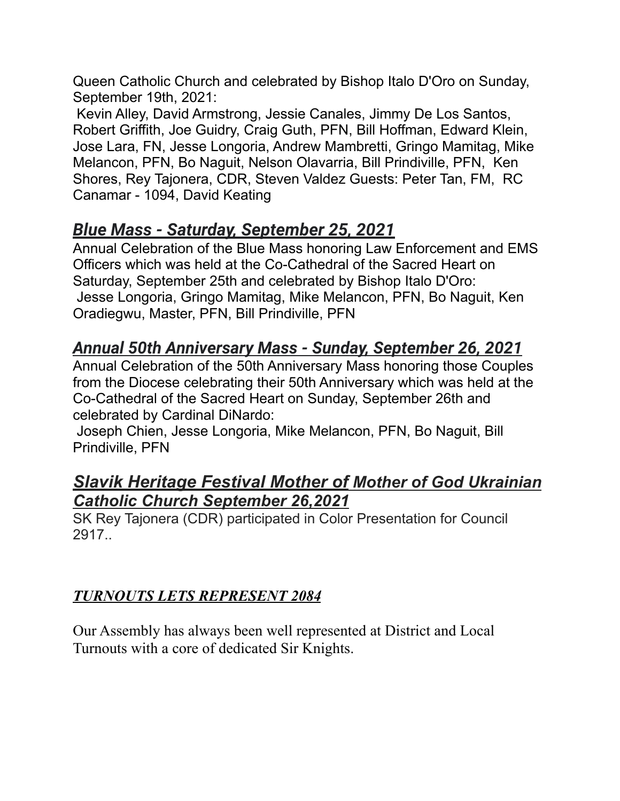Queen Catholic Church and celebrated by Bishop Italo D'Oro on Sunday, September 19th, 2021:

Kevin Alley, David Armstrong, Jessie Canales, Jimmy De Los Santos, Robert Griffith, Joe Guidry, Craig Guth, PFN, Bill Hoffman, Edward Klein, Jose Lara, FN, Jesse Longoria, Andrew Mambretti, Gringo Mamitag, Mike Melancon, PFN, Bo Naguit, Nelson Olavarria, Bill Prindiville, PFN, Ken Shores, Rey Tajonera, CDR, Steven Valdez Guests: Peter Tan, FM, RC Canamar - 1094, David Keating

# *Blue Mass - Saturday, September 25, 2021*

Annual Celebration of the Blue Mass honoring Law Enforcement and EMS Officers which was held at the Co-Cathedral of the Sacred Heart on Saturday, September 25th and celebrated by Bishop Italo D'Oro: Jesse Longoria, Gringo Mamitag, Mike Melancon, PFN, Bo Naguit, Ken Oradiegwu, Master, PFN, Bill Prindiville, PFN

# *Annual 50th Anniversary Mass - Sunday, September 26, 2021*

Annual Celebration of the 50th Anniversary Mass honoring those Couples from the Diocese celebrating their 50th Anniversary which was held at the Co-Cathedral of the Sacred Heart on Sunday, September 26th and celebrated by Cardinal DiNardo:

Joseph Chien, Jesse Longoria, Mike Melancon, PFN, Bo Naguit, Bill Prindiville, PFN

## *Slavik Heritage Festival Mother of Mother of God Ukrainian Catholic Church September 26,2021*

SK Rey Tajonera (CDR) participated in Color Presentation for Council 2917..

## *TURNOUTS LETS REPRESENT 2084*

Our Assembly has always been well represented at District and Local Turnouts with a core of dedicated Sir Knights.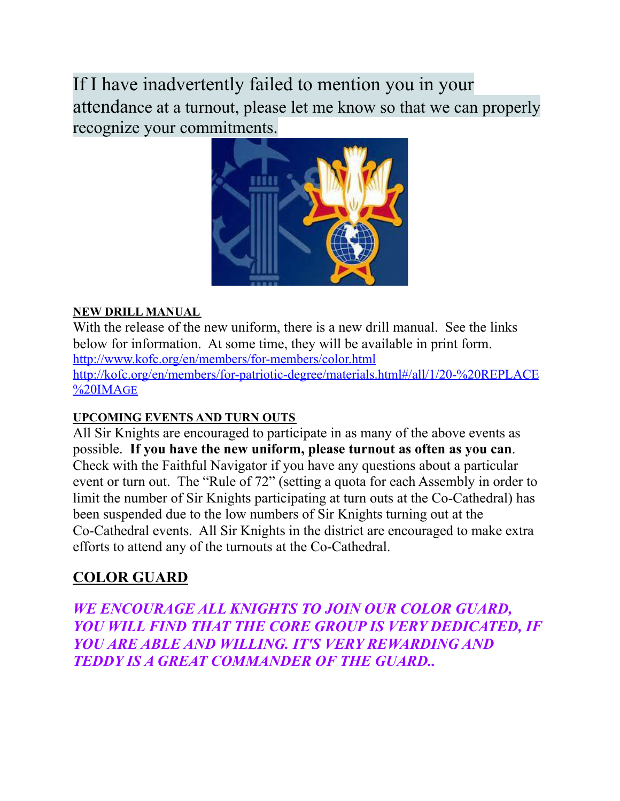If I have inadvertently failed to mention you in your attendance at a turnout, please let me know so that we can properly recognize your commitments.



#### **NEW DRILL MANUAL**

With the release of the new uniform, there is a new drill manual. See the links below for information. At some time, they will be available in print form. <http://www.kofc.org/en/members/for-members/color.html> [http://kofc.org/en/members/for-patriotic-degree/materials.html#/all/1/20-%20REPLACE](http://kofc.org/en/members/for-patriotic-degree/materials.html#/all/1/20-%20REPLACE%20IMAGE) [%20IMA](http://kofc.org/en/members/for-patriotic-degree/materials.html#/all/1/20-%20REPLACE%20IMAGE)GE

#### **UPCOMING EVENTS AND TURN OUTS**

All Sir Knights are encouraged to participate in as many of the above events as possible. **If you have the new uniform, please turnout as often as you can**. Check with the Faithful Navigator if you have any questions about a particular event or turn out. The "Rule of 72" (setting a quota for each Assembly in order to limit the number of Sir Knights participating at turn outs at the Co-Cathedral) has been suspended due to the low numbers of Sir Knights turning out at the Co-Cathedral events. All Sir Knights in the district are encouraged to make extra efforts to attend any of the turnouts at the Co-Cathedral.

### **COLOR GUARD**

*WE ENCOURAGE ALL KNIGHTS TO JOIN OUR COLOR GUARD, YOU WILL FIND THAT THE CORE GROUP IS VERY DEDICATED, IF YOU ARE ABLE AND WILLING. IT'S VERY REWARDING AND TEDDY IS A GREAT COMMANDER OF THE GUARD..*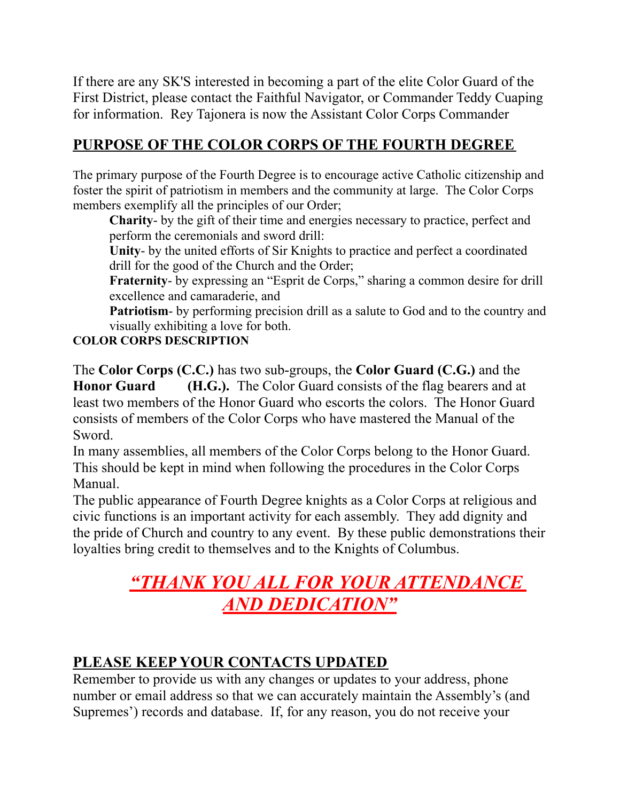If there are any SK'S interested in becoming a part of the elite Color Guard of the First District, please contact the Faithful Navigator, or Commander Teddy Cuaping for information. Rey Tajonera is now the Assistant Color Corps Commander

## **PURPOSE OF THE COLOR CORPS OF THE FOURTH DEGREE**

The primary purpose of the Fourth Degree is to encourage active Catholic citizenship and foster the spirit of patriotism in members and the community at large. The Color Corps members exemplify all the principles of our Order;

**Charity**- by the gift of their time and energies necessary to practice, perfect and perform the ceremonials and sword drill:

**Unity**- by the united efforts of Sir Knights to practice and perfect a coordinated drill for the good of the Church and the Order;

**Fraternity**- by expressing an "Esprit de Corps," sharing a common desire for drill excellence and camaraderie, and

**Patriotism**- by performing precision drill as a salute to God and to the country and visually exhibiting a love for both.

#### **COLOR CORPS DESCRIPTION**

The **Color Corps (C.C.)** has two sub-groups, the **Color Guard (C.G.)** and the **Honor Guard (H.G.).** The Color Guard consists of the flag bearers and at least two members of the Honor Guard who escorts the colors. The Honor Guard consists of members of the Color Corps who have mastered the Manual of the Sword.

In many assemblies, all members of the Color Corps belong to the Honor Guard. This should be kept in mind when following the procedures in the Color Corps Manual.

The public appearance of Fourth Degree knights as a Color Corps at religious and civic functions is an important activity for each assembly. They add dignity and the pride of Church and country to any event. By these public demonstrations their loyalties bring credit to themselves and to the Knights of Columbus.

# *"THANK YOU ALL FOR YOUR ATTENDANCE AND DEDICATION"*

## **PLEASE KEEP YOUR CONTACTS UPDATED**

Remember to provide us with any changes or updates to your address, phone number or email address so that we can accurately maintain the Assembly's (and Supremes') records and database. If, for any reason, you do not receive your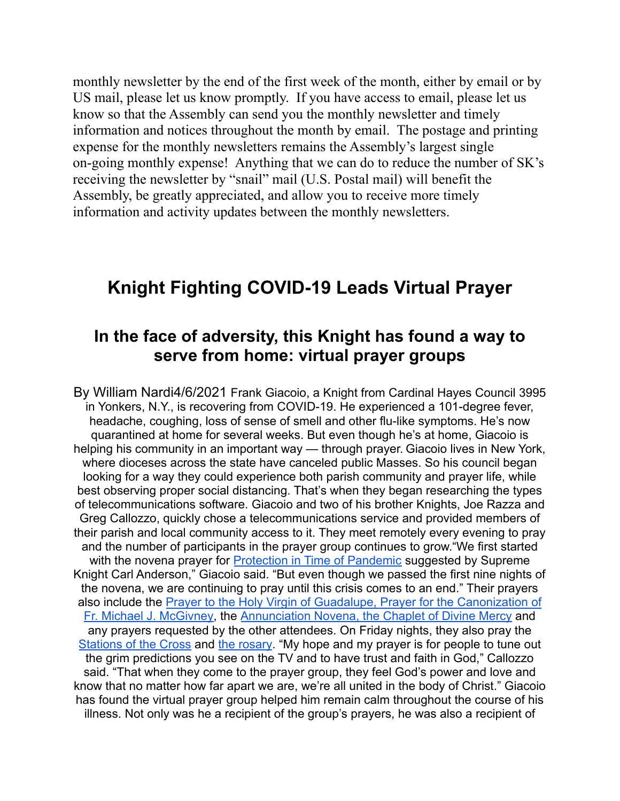monthly newsletter by the end of the first week of the month, either by email or by US mail, please let us know promptly. If you have access to email, please let us know so that the Assembly can send you the monthly newsletter and timely information and notices throughout the month by email. The postage and printing expense for the monthly newsletters remains the Assembly's largest single on-going monthly expense! Anything that we can do to reduce the number of SK's receiving the newsletter by "snail" mail (U.S. Postal mail) will benefit the Assembly, be greatly appreciated, and allow you to receive more timely information and activity updates between the monthly newsletters.

## **Knight Fighting COVID-19 Leads Virtual Prayer**

## **In the face of adversity, this Knight has found a way to serve from home: virtual prayer groups**

By William Nardi4/6/2021 Frank Giacoio, a Knight from Cardinal Hayes Council 3995 in Yonkers, N.Y., is recovering from COVID-19. He experienced a 101-degree fever, headache, coughing, loss of sense of smell and other flu-like symptoms. He's now quarantined at home for several weeks. But even though he's at home, Giacoio is helping his community in an important way — through prayer. Giacoio lives in New York, where dioceses across the state have canceled public Masses. So his council began looking for a way they could experience both parish community and prayer life, while best observing proper social distancing. That's when they began researching the types of telecommunications software. Giacoio and two of his brother Knights, Joe Razza and Greg Callozzo, quickly chose a telecommunications service and provided members of their parish and local community access to it. They meet remotely every evening to pray and the number of participants in the prayer group continues to grow."We first started with the novena prayer for **[Protection in Time of Pandemic](https://www.kofc.org/en/news-room/articles/novena-prayer-for-protection.html)** suggested by Supreme Knight Carl Anderson," Giacoio said. "But even though we passed the first nine nights of the novena, we are continuing to pray until this crisis comes to an end." Their prayers also include the [Prayer to the Holy Virgin of Guadalupe,](http://www.usccb.org/about/communications/upload/prayer-coronavirus-2020-card.pdf) Prayer for the Canonization of [Fr. Michael J. McGivney,](http://www.usccb.org/about/communications/upload/prayer-coronavirus-2020-card.pdf) the Annunciation Novena, [the Chaplet of Divine Mercy](https://www.kofc.org/en/resources/news-room/chaplet-of-the-divine-mercy.pdf) and any prayers requested by the other attendees. On Friday nights, they also pray the [Stations of the Cross](https://www.kofc.org/en/resources/news-room/stations-of-the-cross.pdf) and [the rosary.](https://www.kofc.org/en/resources/news-room/4772-praying-the-rosary.pdf) "My hope and my prayer is for people to tune out the grim predictions you see on the TV and to have trust and faith in God," Callozzo said. "That when they come to the prayer group, they feel God's power and love and know that no matter how far apart we are, we're all united in the body of Christ." Giacoio has found the virtual prayer group helped him remain calm throughout the course of his illness. Not only was he a recipient of the group's prayers, he was also a recipient of